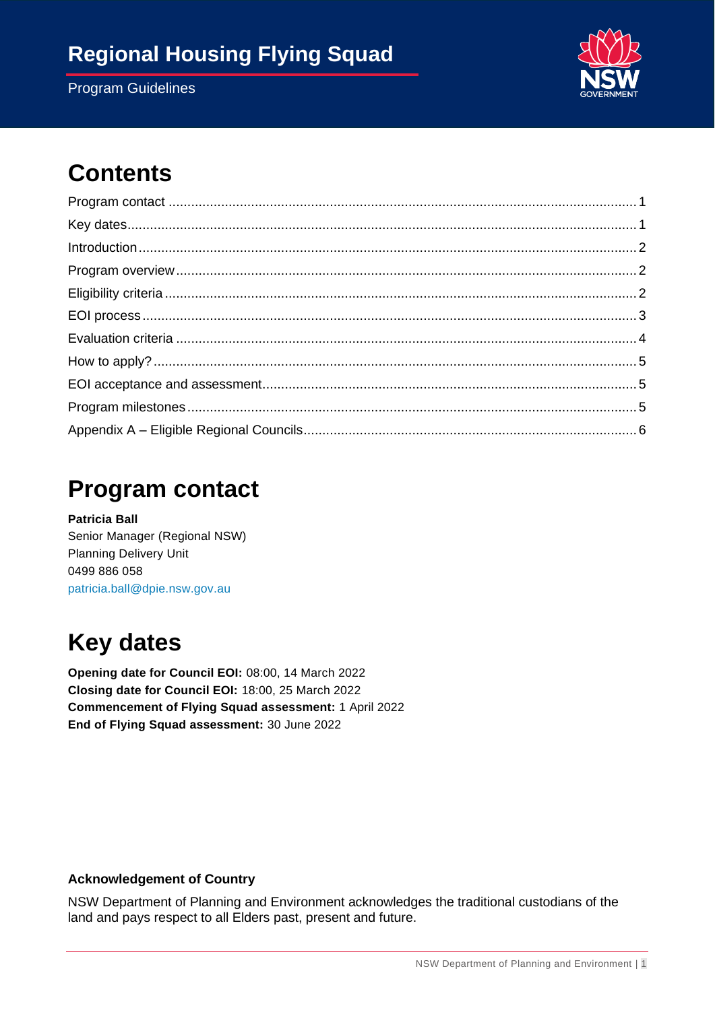### **Regional Housing Flying Squad**

Program Guidelines



# **Contents**

### <span id="page-0-0"></span>**Program contact**

**Patricia Ball** Senior Manager (Regional NSW) Planning Delivery Unit 0499 886 058 [patricia.ball@dpie.nsw.gov.au](mailto:patricia.ball@dpie.nsw.gov.au%0b)

# <span id="page-0-1"></span>**Key dates**

**Opening date for Council EOI:** 08:00, 14 March 2022 **Closing date for Council EOI:** 18:00, 25 March 2022 **Commencement of Flying Squad assessment:** 1 April 2022 **End of Flying Squad assessment:** 30 June 2022

#### **Acknowledgement of Country**

NSW Department of Planning and Environment acknowledges the traditional custodians of the land and pays respect to all Elders past, present and future.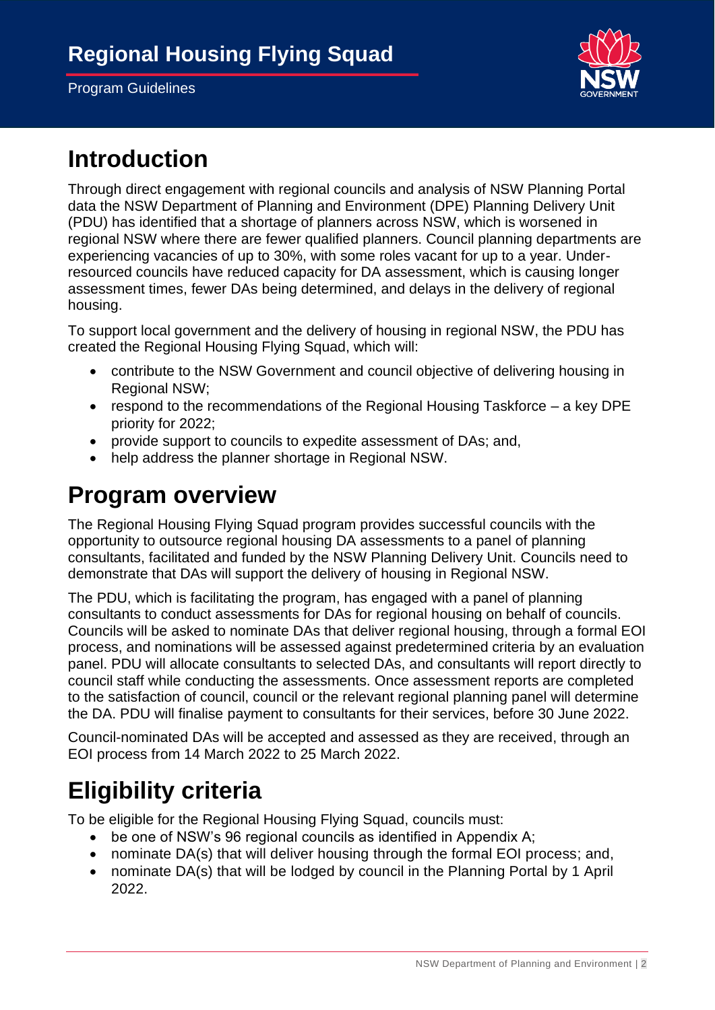

# <span id="page-1-0"></span>**Introduction**

Through direct engagement with regional councils and analysis of NSW Planning Portal data the NSW Department of Planning and Environment (DPE) Planning Delivery Unit (PDU) has identified that a shortage of planners across NSW, which is worsened in regional NSW where there are fewer qualified planners. Council planning departments are experiencing vacancies of up to 30%, with some roles vacant for up to a year. Underresourced councils have reduced capacity for DA assessment, which is causing longer assessment times, fewer DAs being determined, and delays in the delivery of regional housing.

To support local government and the delivery of housing in regional NSW, the PDU has created the Regional Housing Flying Squad, which will:

- contribute to the NSW Government and council objective of delivering housing in Regional NSW;
- respond to the recommendations of the Regional Housing Taskforce a key DPE priority for 2022;
- provide support to councils to expedite assessment of DAs; and,
- help address the planner shortage in Regional NSW.

### <span id="page-1-1"></span>**Program overview**

The Regional Housing Flying Squad program provides successful councils with the opportunity to outsource regional housing DA assessments to a panel of planning consultants, facilitated and funded by the NSW Planning Delivery Unit. Councils need to demonstrate that DAs will support the delivery of housing in Regional NSW.

The PDU, which is facilitating the program, has engaged with a panel of planning consultants to conduct assessments for DAs for regional housing on behalf of councils. Councils will be asked to nominate DAs that deliver regional housing, through a formal EOI process, and nominations will be assessed against predetermined criteria by an evaluation panel. PDU will allocate consultants to selected DAs, and consultants will report directly to council staff while conducting the assessments. Once assessment reports are completed to the satisfaction of council, council or the relevant regional planning panel will determine the DA. PDU will finalise payment to consultants for their services, before 30 June 2022.

Council-nominated DAs will be accepted and assessed as they are received, through an EOI process from 14 March 2022 to 25 March 2022.

# <span id="page-1-2"></span>**Eligibility criteria**

To be eligible for the Regional Housing Flying Squad, councils must:

- be one of NSW's 96 regional councils as identified in Appendix A;
- nominate DA(s) that will deliver housing through the formal EOI process; and,
- nominate DA(s) that will be lodged by council in the Planning Portal by 1 April 2022.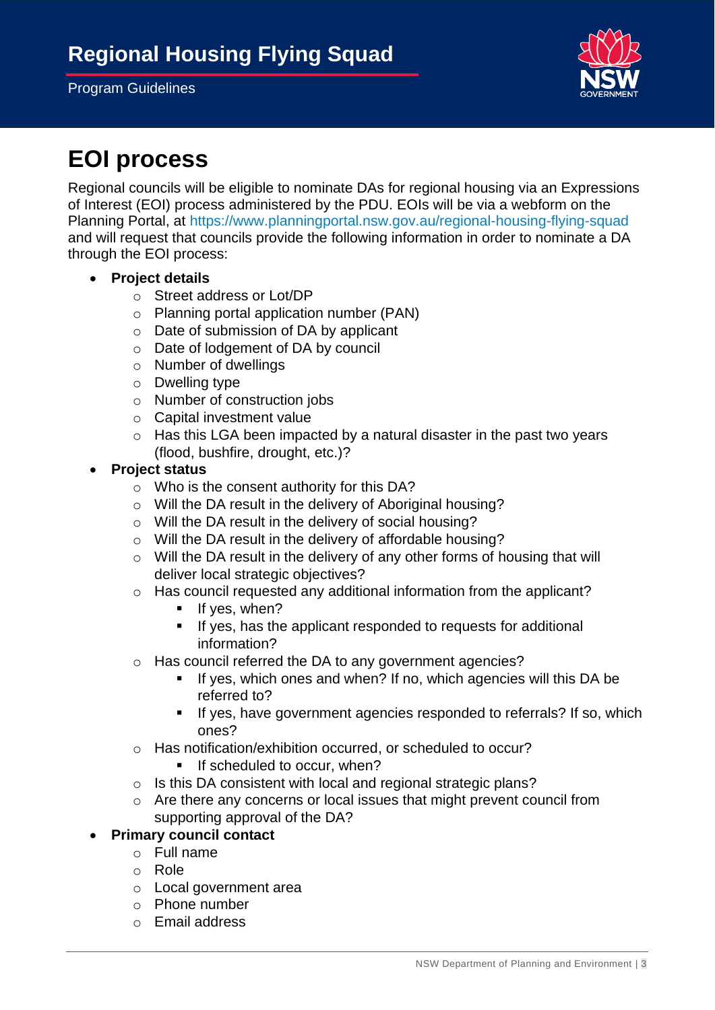

# <span id="page-2-0"></span>**EOI process**

Regional councils will be eligible to nominate DAs for regional housing via an Expressions of Interest (EOI) process administered by the PDU. EOIs will be via a webform on the Planning Portal, at<https://www.planningportal.nsw.gov.au/regional-housing-flying-squad> and will request that councils provide the following information in order to nominate a DA through the EOI process:

- **Project details**
	- o Street address or Lot/DP
	- o Planning portal application number (PAN)
	- o Date of submission of DA by applicant
	- o Date of lodgement of DA by council
	- o Number of dwellings
	- o Dwelling type
	- o Number of construction jobs
	- o Capital investment value
	- o Has this LGA been impacted by a natural disaster in the past two years (flood, bushfire, drought, etc.)?
- **Project status** 
	- o Who is the consent authority for this DA?
	- o Will the DA result in the delivery of Aboriginal housing?
	- o Will the DA result in the delivery of social housing?
	- o Will the DA result in the delivery of affordable housing?
	- o Will the DA result in the delivery of any other forms of housing that will deliver local strategic objectives?
	- o Has council requested any additional information from the applicant?
		- **·** If yes, when?
		- If yes, has the applicant responded to requests for additional information?
	- o Has council referred the DA to any government agencies?
		- If yes, which ones and when? If no, which agencies will this DA be referred to?
		- **EXECT:** If yes, have government agencies responded to referrals? If so, which ones?
	- o Has notification/exhibition occurred, or scheduled to occur?
		- **EXECUTED** If scheduled to occur, when?
	- o Is this DA consistent with local and regional strategic plans?
	- o Are there any concerns or local issues that might prevent council from supporting approval of the DA?

### • **Primary council contact**

- o Full name
- o Role
- o Local government area
- o Phone number
- o Email address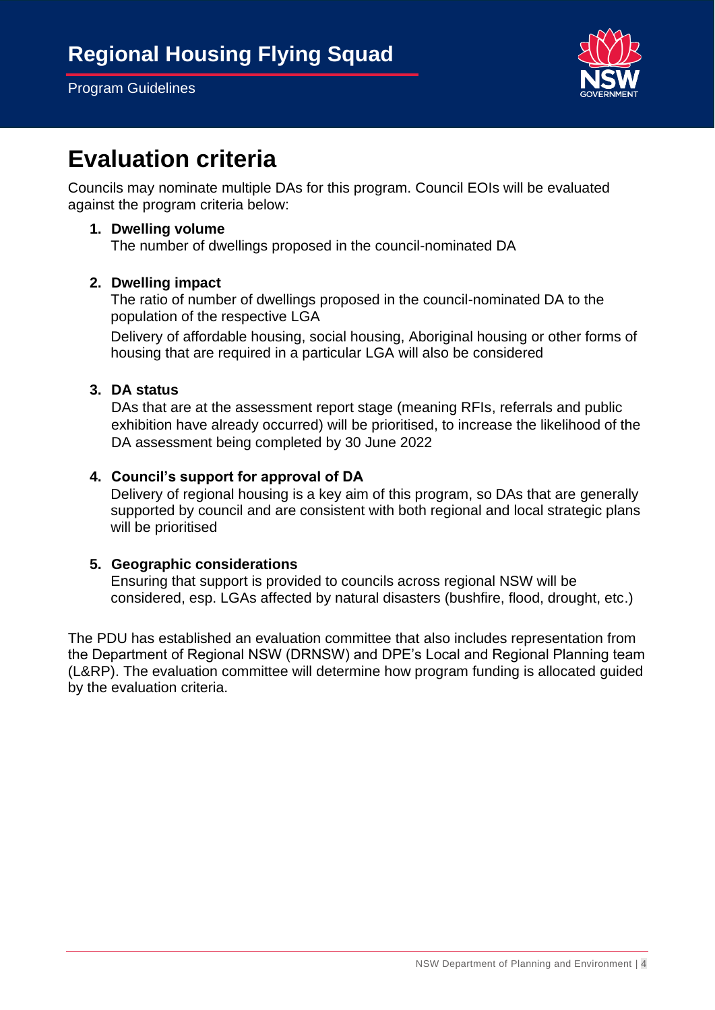

### <span id="page-3-0"></span>**Evaluation criteria**

Councils may nominate multiple DAs for this program. Council EOIs will be evaluated against the program criteria below:

#### **1. Dwelling volume**

The number of dwellings proposed in the council-nominated DA

#### **2. Dwelling impact**

The ratio of number of dwellings proposed in the council-nominated DA to the population of the respective LGA

Delivery of affordable housing, social housing, Aboriginal housing or other forms of housing that are required in a particular LGA will also be considered

#### **3. DA status**

DAs that are at the assessment report stage (meaning RFIs, referrals and public exhibition have already occurred) will be prioritised, to increase the likelihood of the DA assessment being completed by 30 June 2022

#### **4. Council's support for approval of DA**

Delivery of regional housing is a key aim of this program, so DAs that are generally supported by council and are consistent with both regional and local strategic plans will be prioritised

#### **5. Geographic considerations**

Ensuring that support is provided to councils across regional NSW will be considered, esp. LGAs affected by natural disasters (bushfire, flood, drought, etc.)

The PDU has established an evaluation committee that also includes representation from the Department of Regional NSW (DRNSW) and DPE's Local and Regional Planning team (L&RP). The evaluation committee will determine how program funding is allocated guided by the evaluation criteria.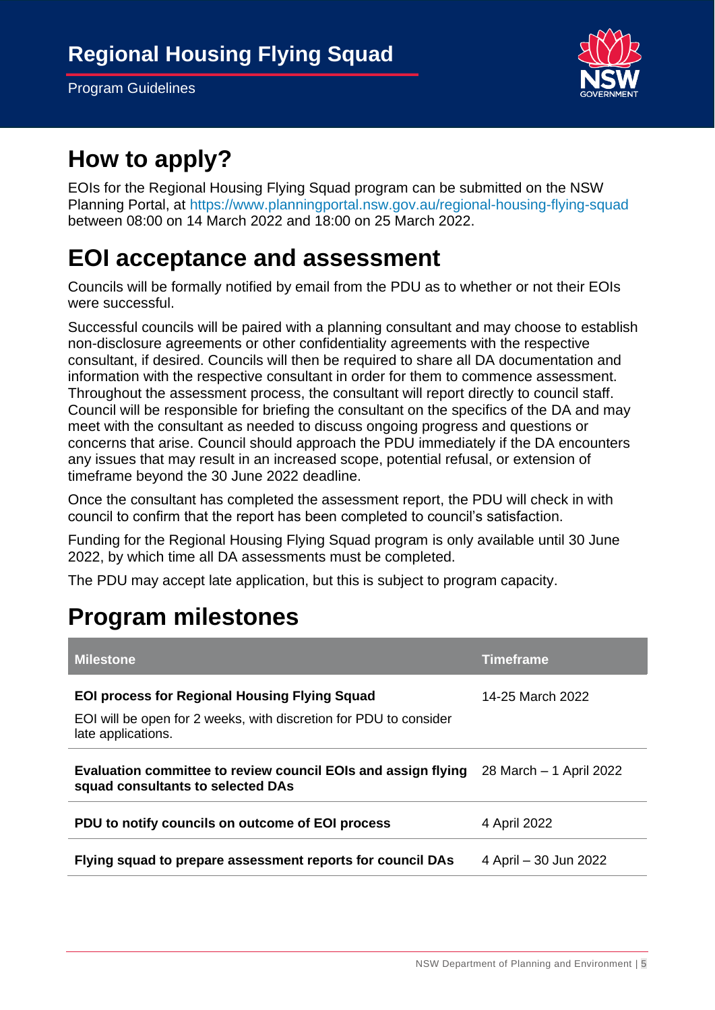

### <span id="page-4-0"></span>**How to apply?**

EOIs for the Regional Housing Flying Squad program can be submitted on the NSW Planning Portal, at<https://www.planningportal.nsw.gov.au/regional-housing-flying-squad> between 08:00 on 14 March 2022 and 18:00 on 25 March 2022.

### <span id="page-4-1"></span>**EOI acceptance and assessment**

Councils will be formally notified by email from the PDU as to whether or not their EOIs were successful.

Successful councils will be paired with a planning consultant and may choose to establish non-disclosure agreements or other confidentiality agreements with the respective consultant, if desired. Councils will then be required to share all DA documentation and information with the respective consultant in order for them to commence assessment. Throughout the assessment process, the consultant will report directly to council staff. Council will be responsible for briefing the consultant on the specifics of the DA and may meet with the consultant as needed to discuss ongoing progress and questions or concerns that arise. Council should approach the PDU immediately if the DA encounters any issues that may result in an increased scope, potential refusal, or extension of timeframe beyond the 30 June 2022 deadline.

Once the consultant has completed the assessment report, the PDU will check in with council to confirm that the report has been completed to council's satisfaction.

Funding for the Regional Housing Flying Squad program is only available until 30 June 2022, by which time all DA assessments must be completed.

The PDU may accept late application, but this is subject to program capacity.

# <span id="page-4-2"></span>**Program milestones**

| <b>Milestone</b>                                                                                                                                | <b>Timeframe</b>        |
|-------------------------------------------------------------------------------------------------------------------------------------------------|-------------------------|
| <b>EOI process for Regional Housing Flying Squad</b><br>EOI will be open for 2 weeks, with discretion for PDU to consider<br>late applications. | 14-25 March 2022        |
| Evaluation committee to review council EOIs and assign flying<br>squad consultants to selected DAs                                              | 28 March - 1 April 2022 |
| PDU to notify councils on outcome of EOI process                                                                                                | 4 April 2022            |
| Flying squad to prepare assessment reports for council DAs                                                                                      | 4 April – 30 Jun 2022   |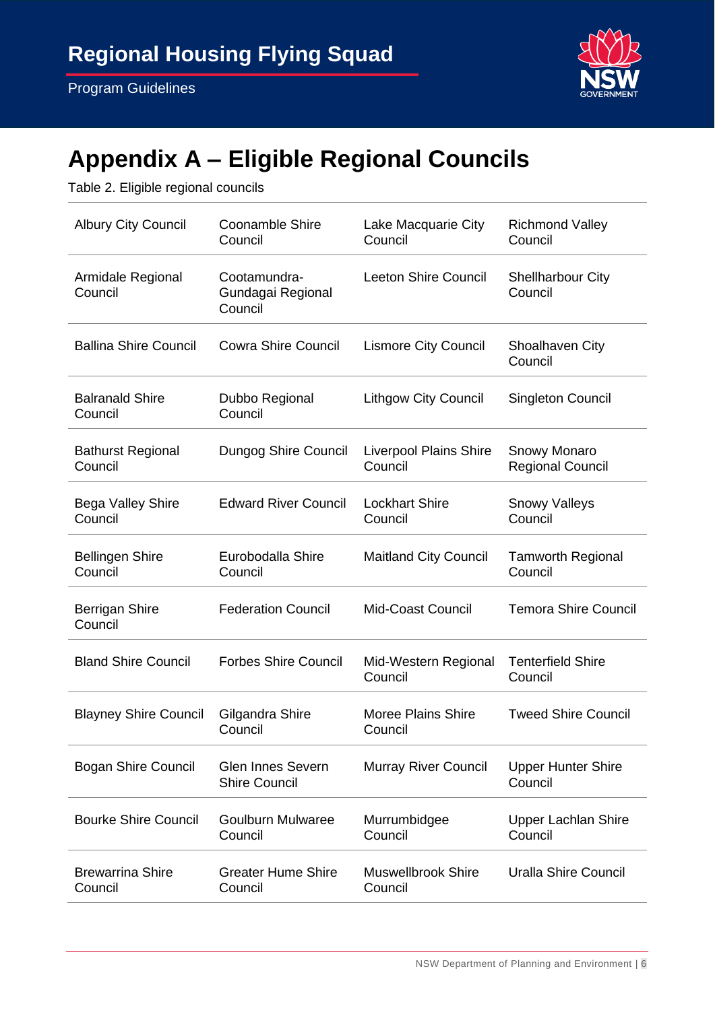

# <span id="page-5-0"></span>**Appendix A – Eligible Regional Councils**

Table 2. Eligible regional councils

| <b>Albury City Council</b>          | <b>Coonamble Shire</b><br>Council                | Lake Macquarie City<br>Council           | <b>Richmond Valley</b><br>Council       |
|-------------------------------------|--------------------------------------------------|------------------------------------------|-----------------------------------------|
| Armidale Regional<br>Council        | Cootamundra-<br>Gundagai Regional<br>Council     | <b>Leeton Shire Council</b>              | <b>Shellharbour City</b><br>Council     |
| <b>Ballina Shire Council</b>        | <b>Cowra Shire Council</b>                       | <b>Lismore City Council</b>              | <b>Shoalhaven City</b><br>Council       |
| <b>Balranald Shire</b><br>Council   | Dubbo Regional<br>Council                        | <b>Lithgow City Council</b>              | Singleton Council                       |
| <b>Bathurst Regional</b><br>Council | Dungog Shire Council                             | <b>Liverpool Plains Shire</b><br>Council | Snowy Monaro<br><b>Regional Council</b> |
| <b>Bega Valley Shire</b><br>Council | <b>Edward River Council</b>                      | <b>Lockhart Shire</b><br>Council         | <b>Snowy Valleys</b><br>Council         |
| <b>Bellingen Shire</b><br>Council   | Eurobodalla Shire<br>Council                     | <b>Maitland City Council</b>             | <b>Tamworth Regional</b><br>Council     |
| <b>Berrigan Shire</b><br>Council    | <b>Federation Council</b>                        | <b>Mid-Coast Council</b>                 | <b>Temora Shire Council</b>             |
| <b>Bland Shire Council</b>          | <b>Forbes Shire Council</b>                      | Mid-Western Regional<br>Council          | <b>Tenterfield Shire</b><br>Council     |
| <b>Blayney Shire Council</b>        | Gilgandra Shire<br>Council                       | <b>Moree Plains Shire</b><br>Council     | <b>Tweed Shire Council</b>              |
| <b>Bogan Shire Council</b>          | <b>Glen Innes Severn</b><br><b>Shire Council</b> | <b>Murray River Council</b>              | <b>Upper Hunter Shire</b><br>Council    |
| <b>Bourke Shire Council</b>         | Goulburn Mulwaree<br>Council                     | Murrumbidgee<br>Council                  | <b>Upper Lachlan Shire</b><br>Council   |
| <b>Brewarrina Shire</b><br>Council  | <b>Greater Hume Shire</b><br>Council             | <b>Muswellbrook Shire</b><br>Council     | <b>Uralla Shire Council</b>             |